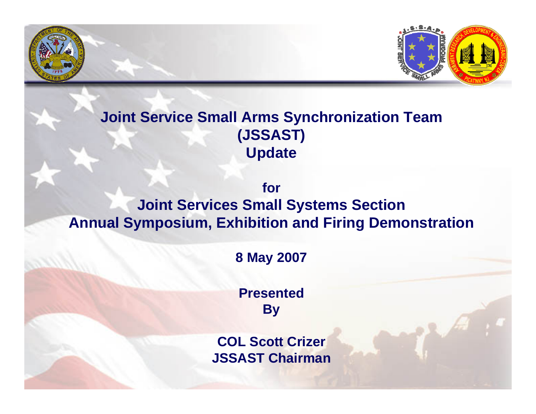

### **Joint Service Small Arms Synchronization Team (JSSAST) Update**

**forJoint Services Small Systems Section Annual Symposium, Exhibition and Firing Demonstration**

**8 May 2007**

**PresentedBy**

**COL Scott Crizer JSSAST Chairman**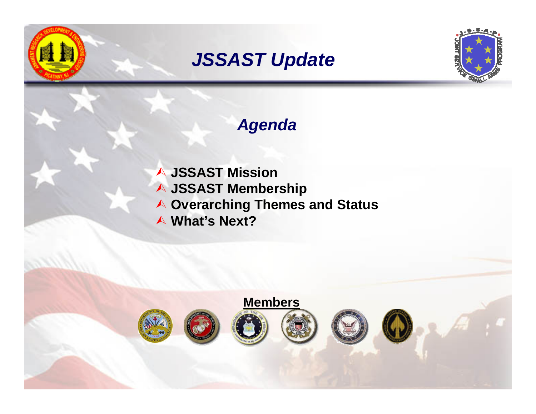## *JSSAST Update*



### *Agenda*

¿ **JSSAST Mission** ¿ **JSSAST Membership** ¿ **Overarching Themes and Status** ¿ **What's Next?**

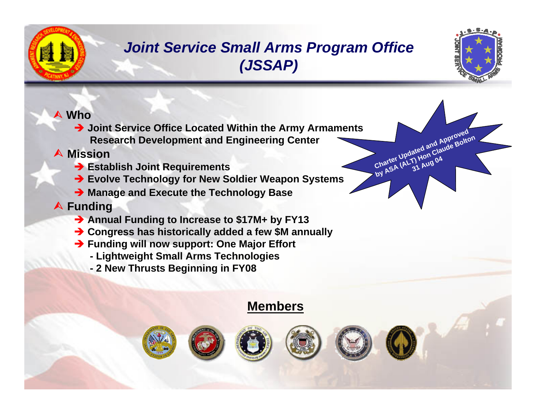### *Joint Service Small Arms Program Office (JSSAP)*



**Bolton**

#### ¿ **Who**

**→ Joint Service Office Located Within the Army Armaments Research Development and Engineering Center**

#### ¿ **Mission**

- **→ Establish Joint Requirements**
- **→ Evolve Technology for New Soldier Weapon Systems**
- $\rightarrow$  **Manage and Execute the Technology Base**

#### ¿ **Funding**

- **→ Annual Funding to Increase to \$17M+ by FY13**
- **→ Congress has historically added a few \$M annually**
- **→ Funding will now support: One Major Effort** 
	- **- Lightweight Small Arms Technologies**
	- **- 2 New Thrusts Beginning in FY08**

### **Members**







**Charter**

**by ASA**

**Updated and Approved**<br>
Updated and Claude Bolte

Updated and Claude<br>
(ALT) Hon Claude<br>
(ALT) Aug 04

**31 Aug 04**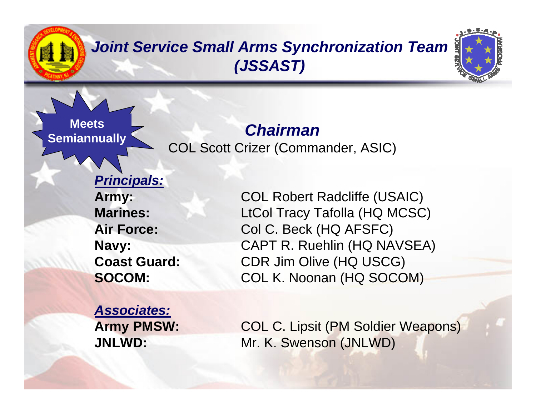## *Joint Service Small Arms Synchronization Team (JSSAST)*



*Chairman*COL Scott Crizer (Commander, ASIC)

## *Principals:*

**Meets**

**Semiannually**

**Marines:Air Force:**

**Army:** COL Robert Radcliffe (USAIC) LtCol Tracy Tafolla (HQ MCSC) Col C. Beck (HQ AFSFC) **Navy:** CAPT R. Ruehlin (HQ NAVSEA) **Coast Guard:** CDR Jim Olive (HQ USCG) **SOCOM:** COL K. Noonan (HQ SOCOM)

*Associates:*

**Army PMSW:** COL C. Lipsit (PM Soldier Weapons) **JNLWD:** Mr. K. Swenson (JNLWD)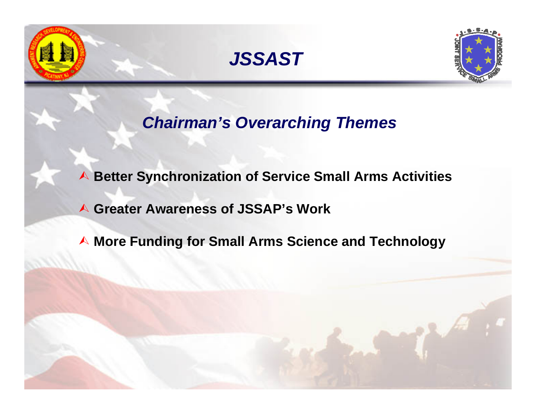





*Chairman's Overarching Themes*

¿ **Better Synchronization of Service Small Arms Activities**

¿ **Greater Awareness of JSSAP's Work**

**△ More Funding for Small Arms Science and Technology**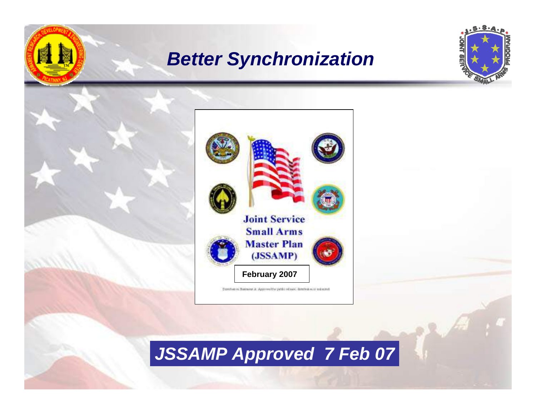## *Better Synchronization*

風上





# *JSSAMP Approved 7 Feb 07*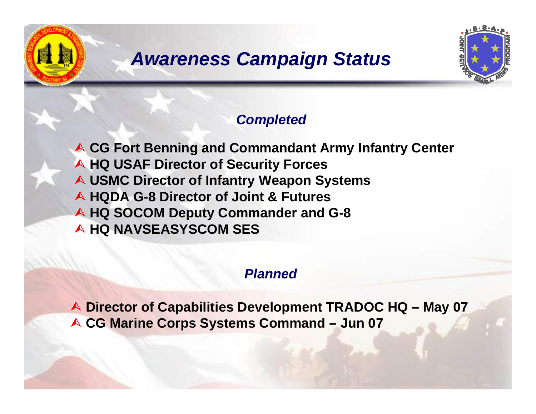# *Awareness Campaign Status*



### *Completed*

**A CG Fort Benning and Commandant Army Infantry Center** ¿ **HQ USAF Director of Security Forces** ¿ **USMC Director of Infantry Weapon Systems** ¿ **HQDA G-8 Director of Joint & Futures** ¿ **HQ SOCOM Deputy Commander and G-8** ¿ **HQ NAVSEASYSCOM SES**

### *Planned*

¿ **Director of Capabilities Development TRADOC HQ – May 07** ¿ **CG Marine Corps Systems Command – Jun 07**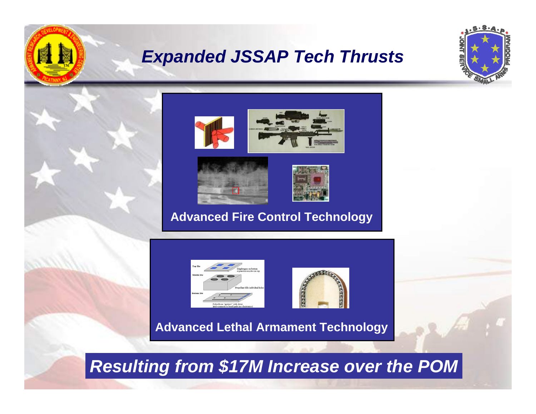## *Expanded JSSAP Tech Thrusts*





### **Advanced Fire Control Technology**



图



**Advanced Lethal Armament Technology**

*Resulting from \$17M Increase over the POM*